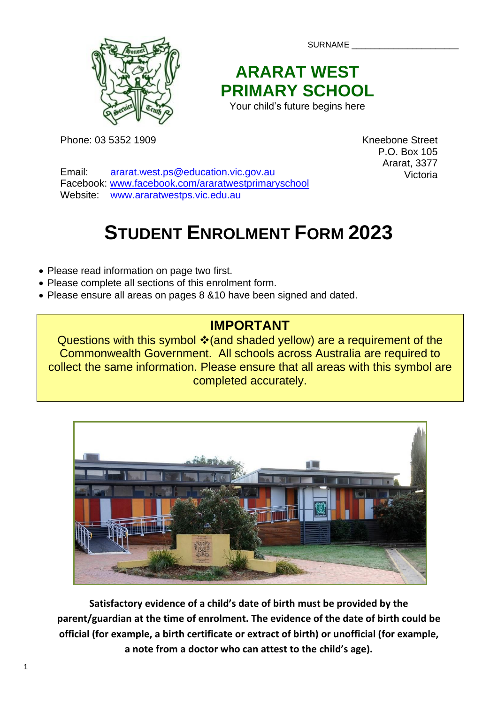

SURNAME \_\_\_\_\_\_\_\_\_\_\_\_\_\_\_\_\_\_\_\_\_\_\_

# **ARARAT WEST PRIMARY SCHOOL**

Your child's future begins here

Phone: 03 5352 1909

Kneebone Street P.O. Box 105 Ararat, 3377 Victoria

Email: [ararat.west.ps@education.vic.gov.au](mailto:ararat.west.ps@education.vic.gov.au) Facebook: [www.facebook.com/araratwestprimaryschool](http://www.facebook.com/araratwestprimaryschool) Website: [www.araratwestps.vic.edu.au](http://www.araratwestps.vic.edu.au/)

# **STUDENT ENROLMENT FORM 2023**

- Please read information on page two first.
- Please complete all sections of this enrolment form.
- Please ensure all areas on pages 8 &10 have been signed and dated.

## **IMPORTANT**

Questions with this symbol ❖(and shaded yellow) are a requirement of the Commonwealth Government. All schools across Australia are required to collect the same information. Please ensure that all areas with this symbol are completed accurately.



**Satisfactory evidence of a child's date of birth must be provided by the parent/guardian at the time of enrolment. The evidence of the date of birth could be official (for example, a birth certificate or extract of birth) or unofficial (for example, a note from a doctor who can attest to the child's age).**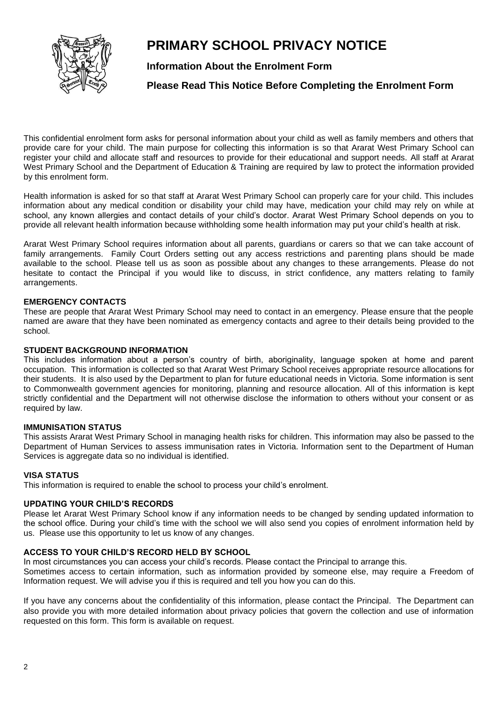

### **PRIMARY SCHOOL PRIVACY NOTICE**

#### **Information About the Enrolment Form**

**Please Read This Notice Before Completing the Enrolment Form**

This confidential enrolment form asks for personal information about your child as well as family members and others that provide care for your child. The main purpose for collecting this information is so that Ararat West Primary School can register your child and allocate staff and resources to provide for their educational and support needs. All staff at Ararat West Primary School and the Department of Education & Training are required by law to protect the information provided by this enrolment form.

Health information is asked for so that staff at Ararat West Primary School can properly care for your child. This includes information about any medical condition or disability your child may have, medication your child may rely on while at school, any known allergies and contact details of your child's doctor. Ararat West Primary School depends on you to provide all relevant health information because withholding some health information may put your child's health at risk.

Ararat West Primary School requires information about all parents, guardians or carers so that we can take account of family arrangements. Family Court Orders setting out any access restrictions and parenting plans should be made available to the school. Please tell us as soon as possible about any changes to these arrangements. Please do not hesitate to contact the Principal if you would like to discuss, in strict confidence, any matters relating to family arrangements.

#### **EMERGENCY CONTACTS**

These are people that Ararat West Primary School may need to contact in an emergency. Please ensure that the people named are aware that they have been nominated as emergency contacts and agree to their details being provided to the school.

#### **STUDENT BACKGROUND INFORMATION**

This includes information about a person's country of birth, aboriginality, language spoken at home and parent occupation. This information is collected so that Ararat West Primary School receives appropriate resource allocations for their students. It is also used by the Department to plan for future educational needs in Victoria. Some information is sent to Commonwealth government agencies for monitoring, planning and resource allocation. All of this information is kept strictly confidential and the Department will not otherwise disclose the information to others without your consent or as required by law.

#### **IMMUNISATION STATUS**

This assists Ararat West Primary School in managing health risks for children. This information may also be passed to the Department of Human Services to assess immunisation rates in Victoria. Information sent to the Department of Human Services is aggregate data so no individual is identified.

#### **VISA STATUS**

This information is required to enable the school to process your child's enrolment.

#### **UPDATING YOUR CHILD'S RECORDS**

Please let Ararat West Primary School know if any information needs to be changed by sending updated information to the school office. During your child's time with the school we will also send you copies of enrolment information held by us. Please use this opportunity to let us know of any changes.

#### **ACCESS TO YOUR CHILD'S RECORD HELD BY SCHOOL**

In most circumstances you can access your child's records. Please contact the Principal to arrange this.

Sometimes access to certain information, such as information provided by someone else, may require a Freedom of Information request. We will advise you if this is required and tell you how you can do this.

If you have any concerns about the confidentiality of this information, please contact the Principal. The Department can also provide you with more detailed information about privacy policies that govern the collection and use of information requested on this form. This form is available on request.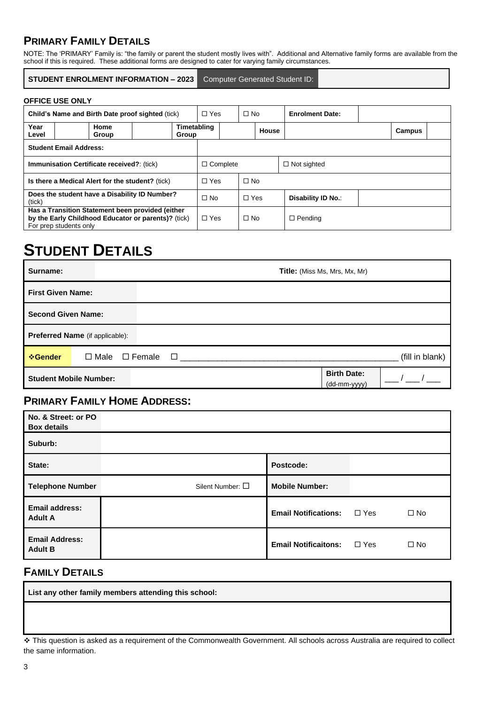### **PRIMARY FAMILY DETAILS**

NOTE: The 'PRIMARY' Family is: "the family or parent the student mostly lives with". Additional and Alternative family forms are available from the school if this is required. These additional forms are designed to cater for varying family circumstances.

#### **STUDENT ENROLMENT INFORMATION – 2023** Computer Generated Student ID:

| Child's Name and Birth Date proof sighted (tick)  |                               | $\Box$ Yes                                                                                              |                      | $\Box$ No  |  | <b>Enrolment Date:</b> |              |                    |        |  |
|---------------------------------------------------|-------------------------------|---------------------------------------------------------------------------------------------------------|----------------------|------------|--|------------------------|--------------|--------------------|--------|--|
| Year<br>Level                                     |                               | Home<br>Group                                                                                           | Timetabling<br>Group |            |  |                        | <b>House</b> |                    | Campus |  |
|                                                   | <b>Student Email Address:</b> |                                                                                                         |                      |            |  |                        |              |                    |        |  |
| <b>Immunisation Certificate received?: (tick)</b> |                               |                                                                                                         | $\Box$ Complete      |            |  | $\Box$ Not sighted     |              |                    |        |  |
| Is there a Medical Alert for the student? (tick)  |                               | $\Box$ Yes                                                                                              |                      | $\Box$ No  |  |                        |              |                    |        |  |
| (tick)                                            |                               | Does the student have a Disability ID Number?                                                           |                      | $\Box$ No  |  | $\Box$ Yes             |              | Disability ID No.: |        |  |
|                                                   | For prep students only        | Has a Transition Statement been provided (either<br>by the Early Childhood Educator or parents)? (tick) |                      | $\Box$ Yes |  | $\Box$ No              |              | $\Box$ Pending     |        |  |

# **STUDENT DETAILS**

| Surname:                      |                                        | Title: (Miss Ms, Mrs, Mx, Mr) |  |  |                                                    |                 |
|-------------------------------|----------------------------------------|-------------------------------|--|--|----------------------------------------------------|-----------------|
| <b>First Given Name:</b>      |                                        |                               |  |  |                                                    |                 |
| <b>Second Given Name:</b>     |                                        |                               |  |  |                                                    |                 |
|                               | <b>Preferred Name</b> (if applicable): |                               |  |  |                                                    |                 |
| <b>☆Gender</b>                | $\Box$ Male $\Box$ Female              | $\Box$                        |  |  |                                                    | (fill in blank) |
| <b>Student Mobile Number:</b> |                                        |                               |  |  | <b>Birth Date:</b><br>$(dd\text{-}mm\text{-}vyyy)$ |                 |

### **PRIMARY FAMILY HOME ADDRESS:**

| No. & Street: or PO<br><b>Box details</b> |                          |                             |            |           |
|-------------------------------------------|--------------------------|-----------------------------|------------|-----------|
| Suburb:                                   |                          |                             |            |           |
| State:                                    |                          | Postcode:                   |            |           |
| <b>Telephone Number</b>                   | Silent Number: $\square$ | <b>Mobile Number:</b>       |            |           |
| <b>Email address:</b><br><b>Adult A</b>   |                          | <b>Email Notifications:</b> | $\Box$ Yes | $\Box$ No |
| <b>Email Address:</b><br><b>Adult B</b>   |                          | <b>Email Notificaitons:</b> | $\Box$ Yes | $\Box$ No |

### **FAMILY DETAILS**

| List any other family members attending this school: |  |
|------------------------------------------------------|--|
|------------------------------------------------------|--|

<sup>❖</sup> This question is asked as a requirement of the Commonwealth Government. All schools across Australia are required to collect the same information.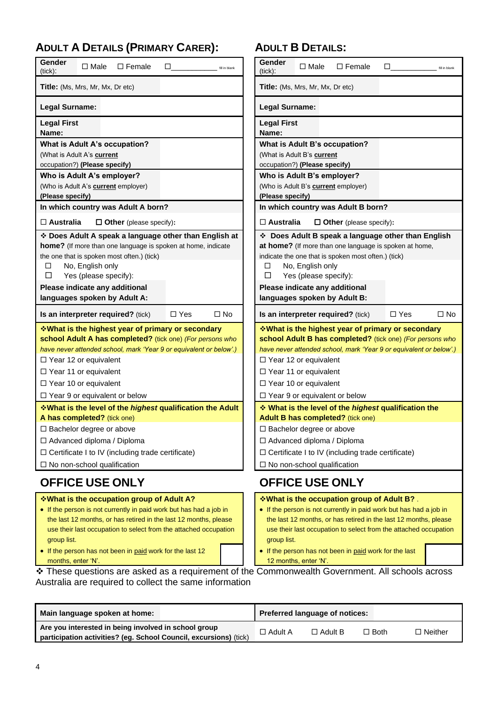### **ADULT A DETAILS (PRIMARY CARER):**

• If the person has not been in paid work for the last 12

months, enter 'N'.

| Gender<br>$\square$ Male<br>$\square$ Female<br>◻<br>$(tick)$ :                                                                                                     | fill in blank | Gender<br>$(tick)$ :                                        | $\square$ Male                            | $\Box$ Female                                                                                                                                                     | □          | fill in blank |
|---------------------------------------------------------------------------------------------------------------------------------------------------------------------|---------------|-------------------------------------------------------------|-------------------------------------------|-------------------------------------------------------------------------------------------------------------------------------------------------------------------|------------|---------------|
| Title: (Ms, Mrs, Mr, Mx, Dr etc)                                                                                                                                    |               | Title: (Ms, Mrs, Mr, Mx, Dr etc)                            |                                           |                                                                                                                                                                   |            |               |
| <b>Legal Surname:</b>                                                                                                                                               |               | Legal Surname:                                              |                                           |                                                                                                                                                                   |            |               |
| <b>Legal First</b><br>Name:                                                                                                                                         |               | <b>Legal First</b><br>Name:                                 |                                           |                                                                                                                                                                   |            |               |
| What is Adult A's occupation?<br>(What is Adult A's current<br>occupation?) (Please specify)                                                                        |               | (What is Adult B's current<br>occupation?) (Please specify) |                                           | What is Adult B's occupation?                                                                                                                                     |            |               |
| Who is Adult A's employer?<br>(Who is Adult A's <b>current</b> employer)<br>(Please specify)                                                                        |               | Who is Adult B's employer?<br>(Please specify)              |                                           | (Who is Adult B's <b>current</b> employer)                                                                                                                        |            |               |
| In which country was Adult A born?                                                                                                                                  |               |                                                             |                                           | In which country was Adult B born?                                                                                                                                |            |               |
| $\square$ Australia<br>$\Box$ Other (please specify):                                                                                                               |               | $\square$ Australia                                         |                                           | $\Box$ Other (please specify):                                                                                                                                    |            |               |
| * Does Adult A speak a language other than English at<br>home? (If more than one language is spoken at home, indicate<br>the one that is spoken most often.) (tick) |               |                                                             |                                           | Does Adult B speak a language other than English<br>at home? (If more than one language is spoken at home,<br>indicate the one that is spoken most often.) (tick) |            |               |
| No, English only<br>□<br>Yes (please specify):<br>□                                                                                                                 |               | $\Box$<br>⊔                                                 | No, English only<br>Yes (please specify): |                                                                                                                                                                   |            |               |
| Please indicate any additional                                                                                                                                      |               |                                                             |                                           | Please indicate any additional                                                                                                                                    |            |               |
| languages spoken by Adult A:                                                                                                                                        |               |                                                             |                                           | languages spoken by Adult B:                                                                                                                                      |            |               |
| Is an interpreter required? (tick)<br>$\Box$ Yes                                                                                                                    | $\square$ No  |                                                             |                                           | Is an interpreter required? (tick)                                                                                                                                | $\Box$ Yes | $\square$ No  |
| <b>V</b> What is the highest year of primary or secondary ↓                                                                                                         |               |                                                             |                                           | <b>Vhat is the highest year of primary or secondary</b>                                                                                                           |            |               |
| school Adult A has completed? (tick one) (For persons who<br>have never attended school, mark 'Year 9 or equivalent or below'.)                                     |               |                                                             |                                           | school Adult B has completed? (tick one) (For persons who<br>have never attended school, mark 'Year 9 or equivalent or below'.)                                   |            |               |
| $\Box$ Year 12 or equivalent                                                                                                                                        |               | $\Box$ Year 12 or equivalent                                |                                           |                                                                                                                                                                   |            |               |
| □ Year 11 or equivalent                                                                                                                                             |               | □ Year 11 or equivalent                                     |                                           |                                                                                                                                                                   |            |               |
| $\Box$ Year 10 or equivalent                                                                                                                                        |               | $\Box$ Year 10 or equivalent                                |                                           |                                                                                                                                                                   |            |               |
| $\Box$ Year 9 or equivalent or below                                                                                                                                |               |                                                             |                                           | □ Year 9 or equivalent or below                                                                                                                                   |            |               |
| <b>What is the level of the highest qualification the Adult</b><br>A has completed? (tick one)                                                                      |               |                                                             |                                           | What is the level of the highest qualification the<br><b>Adult B has completed?</b> (tick one)                                                                    |            |               |
| $\Box$ Bachelor degree or above                                                                                                                                     |               | $\Box$ Bachelor degree or above                             |                                           |                                                                                                                                                                   |            |               |
| $\Box$ Advanced diploma / Diploma                                                                                                                                   |               |                                                             |                                           | □ Advanced diploma / Diploma                                                                                                                                      |            |               |
| $\Box$ Certificate I to IV (including trade certificate)                                                                                                            |               |                                                             |                                           | $\Box$ Certificate I to IV (including trade certificate)                                                                                                          |            |               |
| $\Box$ No non-school qualification                                                                                                                                  |               | $\Box$ No non-school qualification                          |                                           |                                                                                                                                                                   |            |               |
| <b>OFFICE USE ONLY</b>                                                                                                                                              |               |                                                             |                                           | <b>OFFICE USE ONLY</b>                                                                                                                                            |            |               |
|                                                                                                                                                                     |               |                                                             |                                           |                                                                                                                                                                   |            |               |

• If the person has not been in paid work for the last

12 months, enter 'N'.

**ADULT B DETAILS:**

❖ These questions are asked as a requirement of the Commonwealth Government. All schools across Australia are required to collect the same information

| Main language spoken at home:                                     |                | <b>Preferred language of notices:</b> |             |                |
|-------------------------------------------------------------------|----------------|---------------------------------------|-------------|----------------|
| Are you interested in being involved in school group              | $\Box$ Adult A | $\Box$ Adult B                        | $\Box$ Both | $\Box$ Neither |
| participation activities? (eg. School Council, excursions) (tick) |                |                                       |             |                |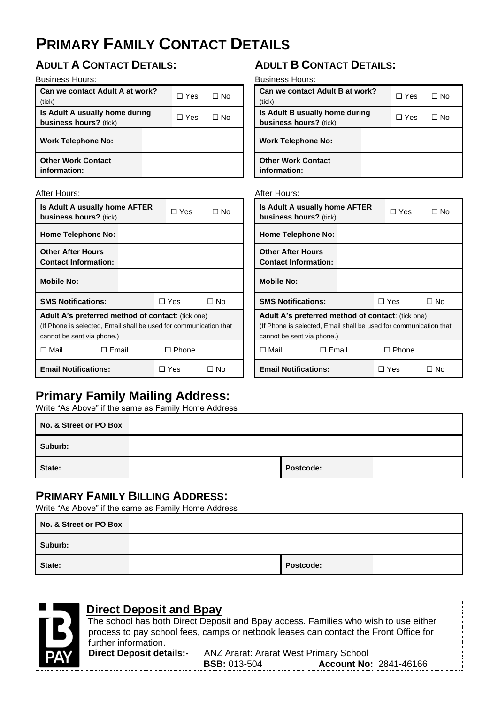# **PRIMARY FAMILY CONTACT DETAILS**

### **ADULT A CONTACT DETAILS:**

#### Business Hours:

| Can we contact Adult A at work?<br>(tick)                | ∩ Yes | ∩ No |
|----------------------------------------------------------|-------|------|
| Is Adult A usually home during<br>business hours? (tick) | ∩ Yes | ⊟ No |
| <b>Work Telephone No:</b>                                |       |      |
| <b>Other Work Contact</b><br>information:                |       |      |

#### After Hours:

| <b>Is Adult A usually home AFTER</b><br><b>business hours?</b> (tick)                                                                                       |                |  | ∏ Yes   | ר No |
|-------------------------------------------------------------------------------------------------------------------------------------------------------------|----------------|--|---------|------|
| <b>Home Telephone No:</b>                                                                                                                                   |                |  |         |      |
| <b>Other After Hours</b><br><b>Contact Information:</b>                                                                                                     |                |  |         |      |
| <b>Mobile No:</b>                                                                                                                                           |                |  |         |      |
| <b>SMS Notifications:</b>                                                                                                                                   |                |  | ∩ Yes   | ∩ No |
| <b>Adult A's preferred method of contact:</b> (tick one)<br>(If Phone is selected, Email shall be used for communication that<br>cannot be sent via phone.) |                |  |         |      |
| □ Mail                                                                                                                                                      | $\sqcap$ Email |  | □ Phone |      |
| <b>Email Notifications:</b>                                                                                                                                 |                |  | ר Yes   | N٥   |

### **ADULT B CONTACT DETAILS:**

Business Hours:

| Can we contact Adult B at work?<br>tick)                 | $\Box$ Yes | ∩ No |
|----------------------------------------------------------|------------|------|
| Is Adult B usually home during<br>business hours? (tick) | ∩ Yes      | ∩ No |
| <b>Work Telephone No:</b>                                |            |      |
| <b>Other Work Contact</b><br>information:                |            |      |

#### After Hours:

| <b>Is Adult A usually home AFTER</b><br><b>business hours?</b> (tick)                                                                                       |                |       | ∩ Yes          | ∩ N∩ |
|-------------------------------------------------------------------------------------------------------------------------------------------------------------|----------------|-------|----------------|------|
| <b>Home Telephone No:</b>                                                                                                                                   |                |       |                |      |
| <b>Other After Hours</b><br><b>Contact Information:</b>                                                                                                     |                |       |                |      |
| <b>Mobile No:</b>                                                                                                                                           |                |       |                |      |
| <b>SMS Notifications:</b>                                                                                                                                   |                | □ Yes |                | □ No |
| <b>Adult A's preferred method of contact:</b> (tick one)<br>(If Phone is selected, Email shall be used for communication that<br>cannot be sent via phone.) |                |       |                |      |
| □ Mail                                                                                                                                                      | $\sqcap$ Email |       | $\sqcap$ Phone |      |
| <b>Email Notifications:</b>                                                                                                                                 |                |       | Yes            | مN ٦ |

### **Primary Family Mailing Address:**

| Write "As Above" if the same as Family Home Address |           |  |  |  |  |
|-----------------------------------------------------|-----------|--|--|--|--|
| No. & Street or PO Box                              |           |  |  |  |  |
| Suburb:                                             |           |  |  |  |  |
| State:                                              | Postcode: |  |  |  |  |

### **PRIMARY FAMILY BILLING ADDRESS:**

Write "As Above" if the same as Family Home Address

| No. & Street or PO Box |           |  |
|------------------------|-----------|--|
| Suburb:                |           |  |
| State:                 | Postcode: |  |

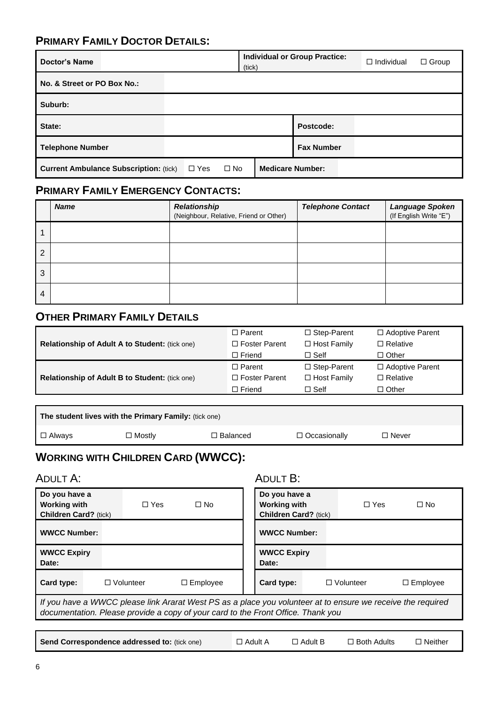### **PRIMARY FAMILY DOCTOR DETAILS:**

| <b>Doctor's Name</b>                          |            |           | (tick)                  | <b>Individual or Group Practice:</b> | $\Box$ Individual | $\Box$ Group |
|-----------------------------------------------|------------|-----------|-------------------------|--------------------------------------|-------------------|--------------|
| No. & Street or PO Box No.:                   |            |           |                         |                                      |                   |              |
| Suburb:                                       |            |           |                         |                                      |                   |              |
| State:                                        |            |           |                         | Postcode:                            |                   |              |
| <b>Telephone Number</b>                       |            |           |                         | <b>Fax Number</b>                    |                   |              |
| <b>Current Ambulance Subscription: (tick)</b> | $\Box$ Yes | $\Box$ No | <b>Medicare Number:</b> |                                      |                   |              |

### **PRIMARY FAMILY EMERGENCY CONTACTS:**

|                | <b>Name</b> | <b>Relationship</b><br>(Neighbour, Relative, Friend or Other) | <b>Telephone Contact</b> | Language Spoken<br>(If English Write "E") |
|----------------|-------------|---------------------------------------------------------------|--------------------------|-------------------------------------------|
|                |             |                                                               |                          |                                           |
| $\overline{c}$ |             |                                                               |                          |                                           |
| 3              |             |                                                               |                          |                                           |
| 4              |             |                                                               |                          |                                           |

### **OTHER PRIMARY FAMILY DETAILS**

|                                                | $\Box$ Parent        | $\Box$ Step-Parent | $\Box$ Adoptive Parent |
|------------------------------------------------|----------------------|--------------------|------------------------|
| Relationship of Adult A to Student: (tick one) | $\Box$ Foster Parent | $\Box$ Host Family | $\Box$ Relative        |
|                                                | $\Box$ Friend        | $\Box$ Self        | $\Box$ Other           |
|                                                | $\Box$ Parent        | $\Box$ Step-Parent | $\Box$ Adoptive Parent |
| Relationship of Adult B to Student: (tick one) | $\Box$ Foster Parent | $\Box$ Host Family | $\Box$ Relative        |
|                                                | $\Box$ Friend        | $\Box$ Self        | $\Box$ Other           |

| The student lives with the Primary Family: (tick one) |          |                 |                     |         |  |  |  |  |  |
|-------------------------------------------------------|----------|-----------------|---------------------|---------|--|--|--|--|--|
| $\blacksquare$ $\square$ Always                       | ∩ Mostly | $\Box$ Balanced | $\Box$ Occasionally | ⊟ Never |  |  |  |  |  |

### **WORKING WITH CHILDREN CARD (WWCC):**

### ADULT A: ADULT B:

 $\mathbf{r}$ 

| Do you have a<br><b>Working with</b><br><b>Children Card?</b> (tick)                                                                                                                            |  | $\Box$ Yes       | $\Box$ No       |  | Do you have a<br><b>Working with</b><br><b>Children Card?</b> (tick) |  | $\Box$ Yes       | $\Box$ No       |  |
|-------------------------------------------------------------------------------------------------------------------------------------------------------------------------------------------------|--|------------------|-----------------|--|----------------------------------------------------------------------|--|------------------|-----------------|--|
| <b>WWCC Number:</b>                                                                                                                                                                             |  |                  |                 |  | <b>WWCC Number:</b>                                                  |  |                  |                 |  |
| <b>WWCC Expiry</b><br>Date:                                                                                                                                                                     |  |                  |                 |  | <b>WWCC Expiry</b><br>Date:                                          |  |                  |                 |  |
| Card type:                                                                                                                                                                                      |  | $\Box$ Volunteer | $\Box$ Employee |  | Card type:                                                           |  | $\Box$ Volunteer | $\Box$ Employee |  |
| If you have a WWCC please link Ararat West PS as a place you volunteer at to ensure we receive the required<br>documentation. Please provide a copy of your card to the Front Office. Thank you |  |                  |                 |  |                                                                      |  |                  |                 |  |
|                                                                                                                                                                                                 |  |                  |                 |  |                                                                      |  |                  |                 |  |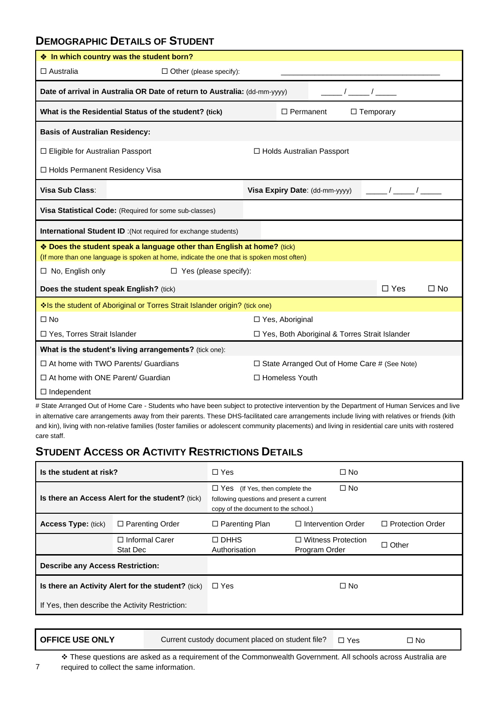### **DEMOGRAPHIC DETAILS OF STUDENT**

| <b>♦ In which country was the student born?</b>                                                                                                                     |                                                                                          |                                                 |  |                                                                                                                                                                                                                                                                                                                     |           |  |  |
|---------------------------------------------------------------------------------------------------------------------------------------------------------------------|------------------------------------------------------------------------------------------|-------------------------------------------------|--|---------------------------------------------------------------------------------------------------------------------------------------------------------------------------------------------------------------------------------------------------------------------------------------------------------------------|-----------|--|--|
| $\Box$ Australia                                                                                                                                                    | $\Box$ Other (please specify):                                                           |                                                 |  |                                                                                                                                                                                                                                                                                                                     |           |  |  |
| Date of arrival in Australia OR Date of return to Australia: (dd-mm-yyyy)<br>$1 \qquad 1$                                                                           |                                                                                          |                                                 |  |                                                                                                                                                                                                                                                                                                                     |           |  |  |
|                                                                                                                                                                     | □ Temporary<br>What is the Residential Status of the student? (tick)<br>$\Box$ Permanent |                                                 |  |                                                                                                                                                                                                                                                                                                                     |           |  |  |
| <b>Basis of Australian Residency:</b>                                                                                                                               |                                                                                          |                                                 |  |                                                                                                                                                                                                                                                                                                                     |           |  |  |
| □ Eligible for Australian Passport                                                                                                                                  |                                                                                          | $\Box$ Holds Australian Passport                |  |                                                                                                                                                                                                                                                                                                                     |           |  |  |
| □ Holds Permanent Residency Visa                                                                                                                                    |                                                                                          |                                                 |  |                                                                                                                                                                                                                                                                                                                     |           |  |  |
| Visa Sub Class:                                                                                                                                                     |                                                                                          | Visa Expiry Date: (dd-mm-yyyy)                  |  | $\frac{1}{2}$ $\frac{1}{2}$ $\frac{1}{2}$ $\frac{1}{2}$ $\frac{1}{2}$ $\frac{1}{2}$ $\frac{1}{2}$ $\frac{1}{2}$ $\frac{1}{2}$ $\frac{1}{2}$ $\frac{1}{2}$ $\frac{1}{2}$ $\frac{1}{2}$ $\frac{1}{2}$ $\frac{1}{2}$ $\frac{1}{2}$ $\frac{1}{2}$ $\frac{1}{2}$ $\frac{1}{2}$ $\frac{1}{2}$ $\frac{1}{2}$ $\frac{1}{2}$ |           |  |  |
| Visa Statistical Code: (Required for some sub-classes)                                                                                                              |                                                                                          |                                                 |  |                                                                                                                                                                                                                                                                                                                     |           |  |  |
| <b>International Student ID</b> : (Not required for exchange students)                                                                                              |                                                                                          |                                                 |  |                                                                                                                                                                                                                                                                                                                     |           |  |  |
| * Does the student speak a language other than English at home? (tick)<br>(If more than one language is spoken at home, indicate the one that is spoken most often) |                                                                                          |                                                 |  |                                                                                                                                                                                                                                                                                                                     |           |  |  |
| $\Box$ No, English only                                                                                                                                             | $\Box$ Yes (please specify):                                                             |                                                 |  |                                                                                                                                                                                                                                                                                                                     |           |  |  |
| Does the student speak English? (tick)                                                                                                                              |                                                                                          |                                                 |  | $\Box$ Yes                                                                                                                                                                                                                                                                                                          | $\Box$ No |  |  |
| Is the student of Aboriginal or Torres Strait Islander origin? (tick one)                                                                                           |                                                                                          |                                                 |  |                                                                                                                                                                                                                                                                                                                     |           |  |  |
| $\square$ No                                                                                                                                                        |                                                                                          | □ Yes, Aboriginal                               |  |                                                                                                                                                                                                                                                                                                                     |           |  |  |
| □ Yes, Torres Strait Islander                                                                                                                                       |                                                                                          | □ Yes, Both Aboriginal & Torres Strait Islander |  |                                                                                                                                                                                                                                                                                                                     |           |  |  |
| What is the student's living arrangements? (tick one):                                                                                                              |                                                                                          |                                                 |  |                                                                                                                                                                                                                                                                                                                     |           |  |  |
| $\Box$ At home with TWO Parents/ Guardians<br>$\Box$ State Arranged Out of Home Care # (See Note)                                                                   |                                                                                          |                                                 |  |                                                                                                                                                                                                                                                                                                                     |           |  |  |
| $\Box$ At home with ONE Parent/ Guardian                                                                                                                            |                                                                                          | □ Homeless Youth                                |  |                                                                                                                                                                                                                                                                                                                     |           |  |  |
| $\Box$ Independent                                                                                                                                                  |                                                                                          |                                                 |  |                                                                                                                                                                                                                                                                                                                     |           |  |  |

# State Arranged Out of Home Care - Students who have been subject to protective intervention by the Department of Human Services and live in alternative care arrangements away from their parents. These DHS-facilitated care arrangements include living with relatives or friends (kith and kin), living with non-relative families (foster families or adolescent community placements) and living in residential care units with rostered care staff.

### **STUDENT ACCESS OR ACTIVITY RESTRICTIONS DETAILS**

| Is the student at risk?                            |                                   | $\Box$ Yes                                                                                                                 |                                            |                         |
|----------------------------------------------------|-----------------------------------|----------------------------------------------------------------------------------------------------------------------------|--------------------------------------------|-------------------------|
| Is there an Access Alert for the student? (tick)   |                                   | $\Box$ Yes (If Yes, then complete the<br>following questions and present a current<br>copy of the document to the school.) |                                            |                         |
| <b>Access Type: (tick)</b>                         | $\Box$ Parenting Order            | $\Box$ Parenting Plan                                                                                                      | $\Box$ Intervention Order                  | $\Box$ Protection Order |
|                                                    | $\Box$ Informal Carer<br>Stat Dec | $\Box$ DHHS<br>Authorisation                                                                                               | $\Box$ Witness Protection<br>Program Order | $\Box$ Other            |
| <b>Describe any Access Restriction:</b>            |                                   |                                                                                                                            |                                            |                         |
| Is there an Activity Alert for the student? (tick) |                                   | $\square$ Yes                                                                                                              | $\Box$ No                                  |                         |
| If Yes, then describe the Activity Restriction:    |                                   |                                                                                                                            |                                            |                         |

**OFFICE USE ONLY** Current custody document placed on student file? □ Yes □ No

❖ These questions are asked as a requirement of the Commonwealth Government. All schools across Australia are required to collect the same information.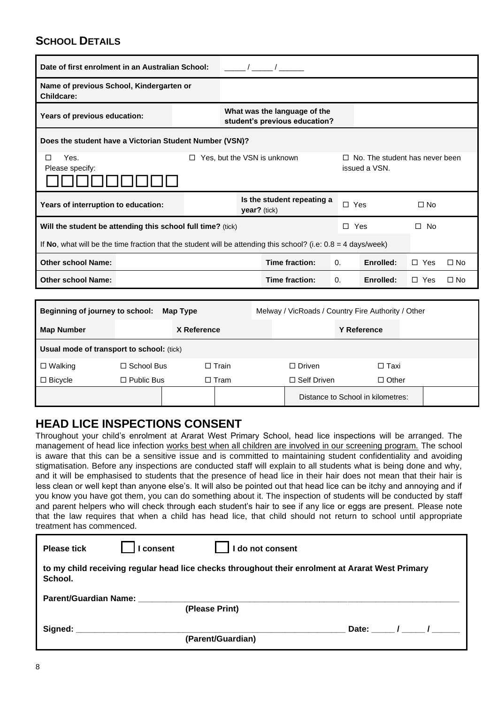### **SCHOOL DETAILS**

| Date of first enrolment in an Australian School:                                                                 |                                                         |  |              |                                                               |            |                                                 |                 |           |  |
|------------------------------------------------------------------------------------------------------------------|---------------------------------------------------------|--|--------------|---------------------------------------------------------------|------------|-------------------------------------------------|-----------------|-----------|--|
| Name of previous School, Kindergarten or<br>Childcare:                                                           |                                                         |  |              |                                                               |            |                                                 |                 |           |  |
| Years of previous education:                                                                                     |                                                         |  |              | What was the language of the<br>student's previous education? |            |                                                 |                 |           |  |
|                                                                                                                  | Does the student have a Victorian Student Number (VSN)? |  |              |                                                               |            |                                                 |                 |           |  |
| Yes.<br>Yes, but the VSN is unknown<br>п<br>0<br>Please specify:                                                 |                                                         |  |              |                                                               | П.         | No. The student has never been<br>issued a VSN. |                 |           |  |
| Years of interruption to education:                                                                              |                                                         |  | year? (tick) | Is the student repeating a                                    |            | $\Box$ Yes                                      | $\Box$ No       |           |  |
| Will the student be attending this school full time? (tick)                                                      |                                                         |  |              |                                                               |            | $\Box$ Yes                                      | <b>No</b><br>П. |           |  |
| If No, what will be the time fraction that the student will be attending this school? (i.e: $0.8 = 4$ days/week) |                                                         |  |              |                                                               |            |                                                 |                 |           |  |
| <b>Other school Name:</b>                                                                                        |                                                         |  |              | Time fraction:                                                | $\Omega$ . | Enrolled:                                       | $\Box$ Yes      | $\Box$ No |  |
| <b>Other school Name:</b>                                                                                        |                                                         |  |              | Time fraction:                                                | 0.         | Enrolled:                                       | $\Box$ Yes      | $\Box$ No |  |
|                                                                                                                  |                                                         |  |              |                                                               |            |                                                 |                 |           |  |

| Beginning of journey to school:<br>Map Type |                    | Melway / VicRoads / Country Fire Authority / Other |                                   |                    |  |  |
|---------------------------------------------|--------------------|----------------------------------------------------|-----------------------------------|--------------------|--|--|
| <b>Map Number</b>                           |                    | X Reference                                        |                                   | <b>Y Reference</b> |  |  |
| Usual mode of transport to school: (tick)   |                    |                                                    |                                   |                    |  |  |
| $\Box$ Walking                              | $\Box$ School Bus  | $\Box$ Train .                                     | $\Box$ Driven                     | □ Taxi             |  |  |
| $\Box$ Bicycle                              | $\Box$ Public Bus. | $\Box$ Tram .                                      | $\Box$ Self Driven                | $\Box$ Other       |  |  |
|                                             |                    |                                                    | Distance to School in kilometres: |                    |  |  |

### **HEAD LICE INSPECTIONS CONSENT**

Throughout your child's enrolment at Ararat West Primary School, head lice inspections will be arranged. The management of head lice infection works best when all children are involved in our screening program. The school is aware that this can be a sensitive issue and is committed to maintaining student confidentiality and avoiding stigmatisation. Before any inspections are conducted staff will explain to all students what is being done and why, and it will be emphasised to students that the presence of head lice in their hair does not mean that their hair is less clean or well kept than anyone else's. It will also be pointed out that head lice can be itchy and annoying and if you know you have got them, you can do something about it. The inspection of students will be conducted by staff and parent helpers who will check through each student's hair to see if any lice or eggs are present. Please note that the law requires that when a child has head lice, that child should not return to school until appropriate treatment has commenced.

| <b>Please tick</b>                                                                                          | I consent                                                                                                                                                                                                                     | I do not consent  |  |           |  |  |  |  |
|-------------------------------------------------------------------------------------------------------------|-------------------------------------------------------------------------------------------------------------------------------------------------------------------------------------------------------------------------------|-------------------|--|-----------|--|--|--|--|
| to my child receiving regular head lice checks throughout their enrolment at Ararat West Primary<br>School. |                                                                                                                                                                                                                               |                   |  |           |  |  |  |  |
|                                                                                                             | Parent/Guardian Name: with the control of the control of the control of the control of the control of the control of the control of the control of the control of the control of the control of the control of the control of |                   |  |           |  |  |  |  |
|                                                                                                             |                                                                                                                                                                                                                               | (Please Print)    |  |           |  |  |  |  |
| Signed:                                                                                                     |                                                                                                                                                                                                                               |                   |  | Date: / / |  |  |  |  |
|                                                                                                             |                                                                                                                                                                                                                               | (Parent/Guardian) |  |           |  |  |  |  |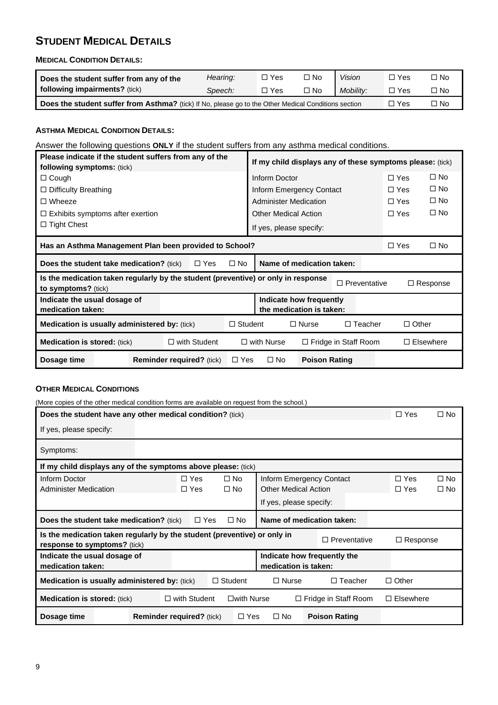### **STUDENT MEDICAL DETAILS**

#### **MEDICAL CONDITION DETAILS:**

| Does the student suffer from any of the                                                              | Hearing:   | □ Yes      | $\Box$ No | Vision    | $\Box$ Yes | □ No |
|------------------------------------------------------------------------------------------------------|------------|------------|-----------|-----------|------------|------|
| following impairments? (tick)                                                                        | Speech:    | $\Box$ Yes | □ No      | Mobility: | $\Box$ Yes | □ No |
| Does the student suffer from Asthma? (tick) If No, please go to the Other Medical Conditions section | $\Box$ Yes | ∩ No       |           |           |            |      |

#### **ASTHMA MEDICAL CONDITION DETAILS:**

Answer the following questions **ONLY** if the student suffers from any asthma medical conditions.

| Please indicate if the student suffers from any of the<br>following symptoms: (tick)                     |                                  |  |                                                  | If my child displays any of these symptoms please: (tick) |                      |                     |            |                 |
|----------------------------------------------------------------------------------------------------------|----------------------------------|--|--------------------------------------------------|-----------------------------------------------------------|----------------------|---------------------|------------|-----------------|
| $\Box$ Cough                                                                                             |                                  |  |                                                  | Inform Doctor                                             |                      |                     | $\Box$ Yes | $\Box$ No       |
| $\Box$ Difficulty Breathing                                                                              |                                  |  |                                                  | Inform Emergency Contact                                  |                      | $\Box$ Yes          | $\Box$ No  |                 |
| $\Box$ Wheeze                                                                                            |                                  |  |                                                  | Administer Medication                                     |                      |                     | $\Box$ Yes | $\square$ No    |
| $\Box$ Exhibits symptoms after exertion                                                                  |                                  |  |                                                  | <b>Other Medical Action</b>                               |                      |                     | $\Box$ Yes | $\square$ No    |
| $\Box$ Tight Chest                                                                                       |                                  |  |                                                  | If yes, please specify:                                   |                      |                     |            |                 |
| Has an Asthma Management Plan been provided to School?<br>$\Box$ Yes<br>$\square$ No                     |                                  |  |                                                  |                                                           |                      |                     |            |                 |
| Name of medication taken:<br>$\Box$ No<br><b>Does the student take medication?</b> (tick)<br>$\Box$ Yes  |                                  |  |                                                  |                                                           |                      |                     |            |                 |
| Is the medication taken regularly by the student (preventive) or only in response<br>to symptoms? (tick) |                                  |  |                                                  |                                                           |                      | $\Box$ Preventative |            | $\Box$ Response |
| Indicate the usual dosage of<br>medication taken:                                                        |                                  |  |                                                  | Indicate how frequently<br>the medication is taken:       |                      |                     |            |                 |
| <b>Medication is usually administered by: (tick)</b>                                                     |                                  |  | $\Box$ Student                                   |                                                           | $\square$ Nurse      | $\Box$ Teacher      |            | $\Box$ Other    |
| $\Box$ with Student<br><b>Medication is stored:</b> (tick)                                               |                                  |  | $\Box$ with Nurse<br>$\Box$ Fridge in Staff Room |                                                           | $\Box$ Elsewhere     |                     |            |                 |
| Dosage time                                                                                              | <b>Reminder required?</b> (tick) |  | $\Box$ Yes                                       | $\square$ No                                              | <b>Poison Rating</b> |                     |            |                 |

#### **OTHER MEDICAL CONDITIONS**

(More copies of the other medical condition forms are available on request from the school.)

| Does the student have any other medical condition? (tick)                                                       |                                  |                                                     |                      | $\Box$ Yes                  | $\square$ No                |              |              |
|-----------------------------------------------------------------------------------------------------------------|----------------------------------|-----------------------------------------------------|----------------------|-----------------------------|-----------------------------|--------------|--------------|
| If yes, please specify:                                                                                         |                                  |                                                     |                      |                             |                             |              |              |
| Symptoms:                                                                                                       |                                  |                                                     |                      |                             |                             |              |              |
| If my child displays any of the symptoms above please: (tick)                                                   |                                  |                                                     |                      |                             |                             |              |              |
| Inform Doctor                                                                                                   |                                  | $\Box$ Yes                                          | $\square$ No         | Inform Emergency Contact    |                             | $\Box$ Yes   | $\square$ No |
| <b>Administer Medication</b>                                                                                    |                                  | $\Box$ Yes                                          | $\square$ No         | <b>Other Medical Action</b> |                             | $\Box$ Yes   | $\square$ No |
| If yes, please specify:                                                                                         |                                  |                                                     |                      |                             |                             |              |              |
| Name of medication taken:<br><b>Does the student take medication?</b> (tick)<br>$\square$ No<br>$\Box$ Yes      |                                  |                                                     |                      |                             |                             |              |              |
| Is the medication taken regularly by the student (preventive) or only in<br><b>response to symptoms?</b> (tick) |                                  |                                                     |                      | □ Preventative              | $\Box$ Response             |              |              |
| Indicate the usual dosage of<br>medication taken:                                                               |                                  | Indicate how frequently the<br>medication is taken: |                      |                             |                             |              |              |
| <b>Medication is usually administered by: (tick)</b>                                                            |                                  |                                                     | $\Box$ Student       | $\Box$ Nurse                | $\Box$ Teacher              | $\Box$ Other |              |
| <b>Medication is stored:</b> (tick)                                                                             |                                  | $\Box$ with Student                                 | $\square$ with Nurse |                             | $\Box$ Fridge in Staff Room | Elsewhere    |              |
| Dosage time                                                                                                     | <b>Reminder required?</b> (tick) |                                                     | $\Box$ Yes           | $\square$ No                | <b>Poison Rating</b>        |              |              |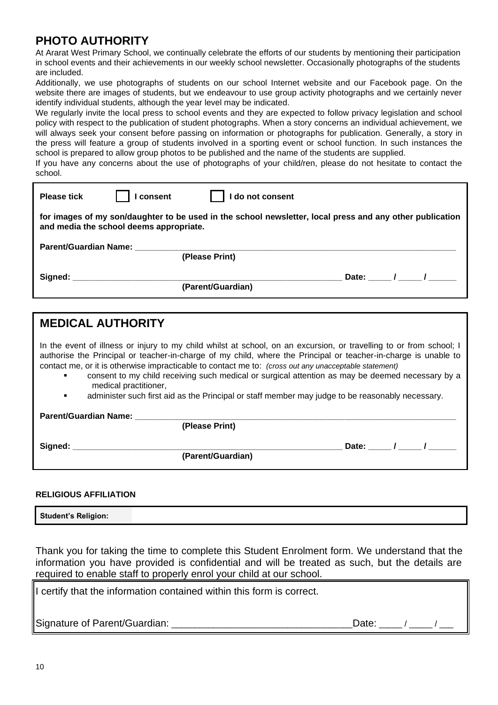### **PHOTO AUTHORITY**

At Ararat West Primary School, we continually celebrate the efforts of our students by mentioning their participation in school events and their achievements in our weekly school newsletter. Occasionally photographs of the students are included.

Additionally, we use photographs of students on our school Internet website and our Facebook page. On the website there are images of students, but we endeavour to use group activity photographs and we certainly never identify individual students, although the year level may be indicated.

We regularly invite the local press to school events and they are expected to follow privacy legislation and school policy with respect to the publication of student photographs. When a story concerns an individual achievement, we will always seek your consent before passing on information or photographs for publication. Generally, a story in the press will feature a group of students involved in a sporting event or school function. In such instances the school is prepared to allow group photos to be published and the name of the students are supplied.

If you have any concerns about the use of photographs of your child/ren, please do not hesitate to contact the school.

| <b>Please tick</b>    | consent                                 | do not consent                                                                                           |  |           |
|-----------------------|-----------------------------------------|----------------------------------------------------------------------------------------------------------|--|-----------|
|                       | and media the school deems appropriate. | for images of my son/daughter to be used in the school newsletter, local press and any other publication |  |           |
| Parent/Guardian Name: |                                         |                                                                                                          |  |           |
|                       |                                         | (Please Print)                                                                                           |  |           |
| Signed:               |                                         |                                                                                                          |  | Date: / / |
|                       |                                         | (Parent/Guardian)                                                                                        |  |           |
|                       |                                         |                                                                                                          |  |           |

| <b>MEDICAL AUTHORITY</b>                                                                                                                                                                                                                                                                                                                                                                                                                                                                                                                                                                                |
|---------------------------------------------------------------------------------------------------------------------------------------------------------------------------------------------------------------------------------------------------------------------------------------------------------------------------------------------------------------------------------------------------------------------------------------------------------------------------------------------------------------------------------------------------------------------------------------------------------|
| In the event of illness or injury to my child whilst at school, on an excursion, or travelling to or from school; I<br>authorise the Principal or teacher-in-charge of my child, where the Principal or teacher-in-charge is unable to<br>contact me, or it is otherwise impracticable to contact me to: (cross out any unacceptable statement)<br>consent to my child receiving such medical or surgical attention as may be deemed necessary by a<br>٠<br>medical practitioner,<br>administer such first aid as the Principal or staff member may judge to be reasonably necessary.<br>$\blacksquare$ |
| <b>Parent/Guardian Name:</b>                                                                                                                                                                                                                                                                                                                                                                                                                                                                                                                                                                            |
| (Please Print)                                                                                                                                                                                                                                                                                                                                                                                                                                                                                                                                                                                          |
| Date: / /<br>Signed:<br>(Parent/Guardian)                                                                                                                                                                                                                                                                                                                                                                                                                                                                                                                                                               |

#### **RELIGIOUS AFFILIATION**

**Student's Religion:**

Thank you for taking the time to complete this Student Enrolment form. We understand that the information you have provided is confidential and will be treated as such, but the details are required to enable staff to properly enrol your child at our school.

I certify that the information contained within this form is correct.

Signature of Parent/Guardian:

| r.<br>. . |  |
|-----------|--|
|-----------|--|